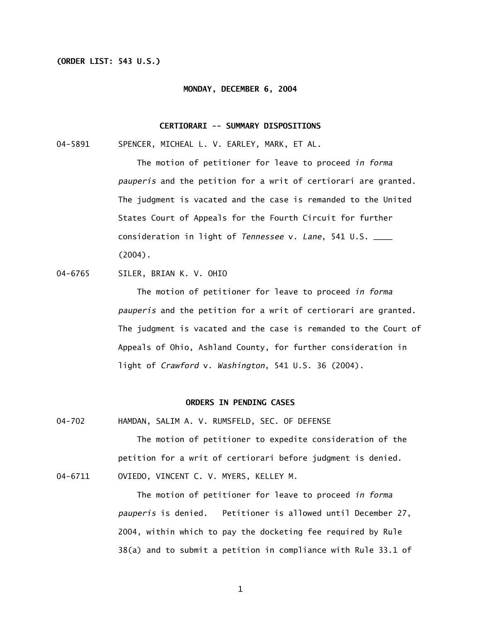## **(ORDER LIST: 543 U.S.)**

### **MONDAY, DECEMBER 6, 2004**

## **CERTIORARI -- SUMMARY DISPOSITIONS**

04-5891 SPENCER, MICHEAL L. V. EARLEY, MARK, ET AL.

 The motion of petitioner for leave to proceed *in forma pauperis* and the petition for a writ of certiorari are granted. The judgment is vacated and the case is remanded to the United States Court of Appeals for the Fourth Circuit for further consideration in light of *Tennessee* v. *Lane*, 541 U.S. \_\_\_\_ (2004).

04-6765 SILER, BRIAN K. V. OHIO

 The motion of petitioner for leave to proceed *in forma pauperis* and the petition for a writ of certiorari are granted. The judgment is vacated and the case is remanded to the Court of Appeals of Ohio, Ashland County, for further consideration in light of *Crawford* v. *Washington*, 541 U.S. 36 (2004).

## **ORDERS IN PENDING CASES**

04-702 HAMDAN, SALIM A. V. RUMSFELD, SEC. OF DEFENSE

The motion of petitioner to expedite consideration of the petition for a writ of certiorari before judgment is denied. 04-6711 OVIEDO, VINCENT C. V. MYERS, KELLEY M.

> The motion of petitioner for leave to proceed *in forma pauperis* is denied. Petitioner is allowed until December 27, 2004, within which to pay the docketing fee required by Rule 38(a) and to submit a petition in compliance with Rule 33.1 of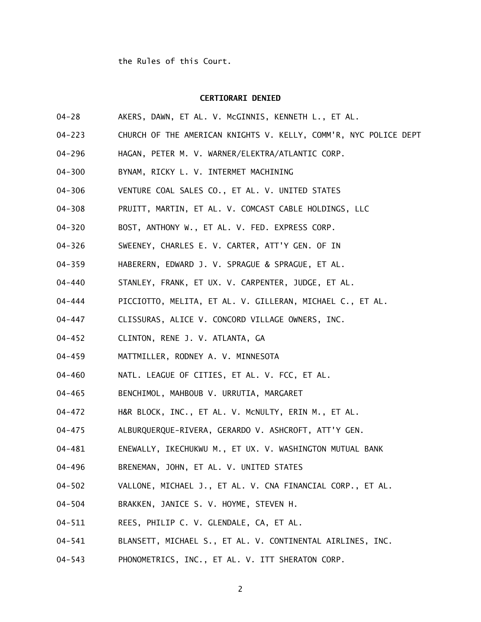#### **CERTIORARI DENIED**

- 04-28 AKERS, DAWN, ET AL. V. McGINNIS, KENNETH L., ET AL.
- 04-223 CHURCH OF THE AMERICAN KNIGHTS V. KELLY, COMM'R, NYC POLICE DEPT
- 04-296 HAGAN, PETER M. V. WARNER/ELEKTRA/ATLANTIC CORP.
- 04-300 BYNAM, RICKY L. V. INTERMET MACHINING
- 04-306 VENTURE COAL SALES CO., ET AL. V. UNITED STATES
- 04-308 PRUITT, MARTIN, ET AL. V. COMCAST CABLE HOLDINGS, LLC
- 04-320 BOST, ANTHONY W., ET AL. V. FED. EXPRESS CORP.
- 04-326 SWEENEY, CHARLES E. V. CARTER, ATT'Y GEN. OF IN
- 04-359 HABERERN, EDWARD J. V. SPRAGUE & SPRAGUE, ET AL.
- 04-440 STANLEY, FRANK, ET UX. V. CARPENTER, JUDGE, ET AL.
- 04-444 PICCIOTTO, MELITA, ET AL. V. GILLERAN, MICHAEL C., ET AL.
- 04-447 CLISSURAS, ALICE V. CONCORD VILLAGE OWNERS, INC.
- 04-452 CLINTON, RENE J. V. ATLANTA, GA
- 04-459 MATTMILLER, RODNEY A. V. MINNESOTA
- 04-460 NATL. LEAGUE OF CITIES, ET AL. V. FCC, ET AL.
- 04-465 BENCHIMOL, MAHBOUB V. URRUTIA, MARGARET
- 04-472 H&R BLOCK, INC., ET AL. V. McNULTY, ERIN M., ET AL.
- 04-475 ALBURQUERQUE-RIVERA, GERARDO V. ASHCROFT, ATT'Y GEN.
- 04-481 ENEWALLY, IKECHUKWU M., ET UX. V. WASHINGTON MUTUAL BANK
- 04-496 BRENEMAN, JOHN, ET AL. V. UNITED STATES
- 04-502 VALLONE, MICHAEL J., ET AL. V. CNA FINANCIAL CORP., ET AL.
- 04-504 BRAKKEN, JANICE S. V. HOYME, STEVEN H.
- 04-511 REES, PHILIP C. V. GLENDALE, CA, ET AL.
- 04-541 BLANSETT, MICHAEL S., ET AL. V. CONTINENTAL AIRLINES, INC.
- 04-543 PHONOMETRICS, INC., ET AL. V. ITT SHERATON CORP.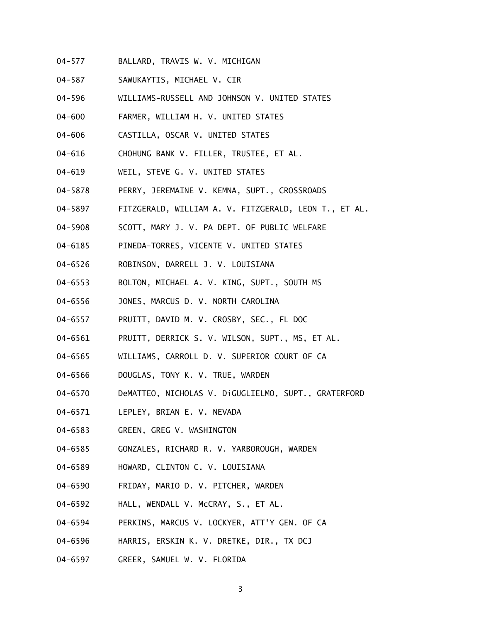- 04-577 BALLARD, TRAVIS W. V. MICHIGAN
- 04-587 SAWUKAYTIS, MICHAEL V. CIR
- 04-596 WILLIAMS-RUSSELL AND JOHNSON V. UNITED STATES
- 04-600 FARMER, WILLIAM H. V. UNITED STATES
- 04-606 CASTILLA, OSCAR V. UNITED STATES
- 04-616 CHOHUNG BANK V. FILLER, TRUSTEE, ET AL.
- 04-619 WEIL, STEVE G. V. UNITED STATES
- 04-5878 PERRY, JEREMAINE V. KEMNA, SUPT., CROSSROADS
- 04-5897 FITZGERALD, WILLIAM A. V. FITZGERALD, LEON T., ET AL.
- 04-5908 SCOTT, MARY J. V. PA DEPT. OF PUBLIC WELFARE
- 04-6185 PINEDA-TORRES, VICENTE V. UNITED STATES
- 04-6526 ROBINSON, DARRELL J. V. LOUISIANA
- 04-6553 BOLTON, MICHAEL A. V. KING, SUPT., SOUTH MS
- 04-6556 JONES, MARCUS D. V. NORTH CAROLINA
- 04-6557 PRUITT, DAVID M. V. CROSBY, SEC., FL DOC
- 04-6561 PRUITT, DERRICK S. V. WILSON, SUPT., MS, ET AL.
- 04-6565 WILLIAMS, CARROLL D. V. SUPERIOR COURT OF CA
- 04-6566 DOUGLAS, TONY K. V. TRUE, WARDEN
- 04-6570 DeMATTEO, NICHOLAS V. DiGUGLIELMO, SUPT., GRATERFORD
- 04-6571 LEPLEY, BRIAN E. V. NEVADA
- 04-6583 GREEN, GREG V. WASHINGTON
- 04-6585 GONZALES, RICHARD R. V. YARBOROUGH, WARDEN
- 04-6589 HOWARD, CLINTON C. V. LOUISIANA
- 04-6590 FRIDAY, MARIO D. V. PITCHER, WARDEN
- 04-6592 HALL, WENDALL V. McCRAY, S., ET AL.
- 04-6594 PERKINS, MARCUS V. LOCKYER, ATT'Y GEN. OF CA
- 04-6596 HARRIS, ERSKIN K. V. DRETKE, DIR., TX DCJ
- 04-6597 GREER, SAMUEL W. V. FLORIDA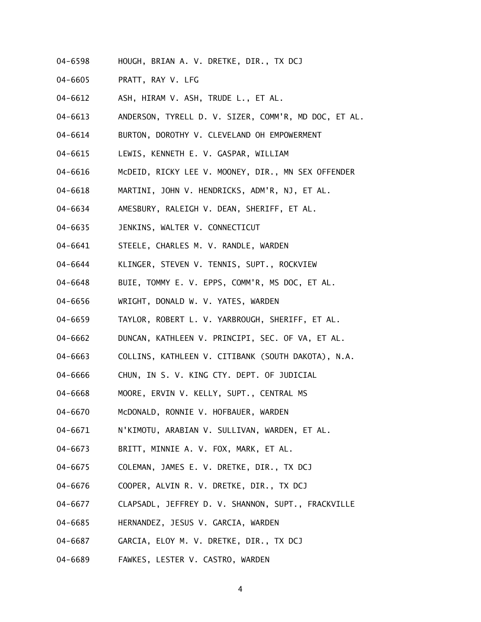- 04-6598 HOUGH, BRIAN A. V. DRETKE, DIR., TX DCJ
- 04-6605 PRATT, RAY V. LFG
- 04-6612 ASH, HIRAM V. ASH, TRUDE L., ET AL.
- 04-6613 ANDERSON, TYRELL D. V. SIZER, COMM'R, MD DOC, ET AL.
- 04-6614 BURTON, DOROTHY V. CLEVELAND OH EMPOWERMENT
- 04-6615 LEWIS, KENNETH E. V. GASPAR, WILLIAM
- 04-6616 McDEID, RICKY LEE V. MOONEY, DIR., MN SEX OFFENDER
- 04-6618 MARTINI, JOHN V. HENDRICKS, ADM'R, NJ, ET AL.
- 04-6634 AMESBURY, RALEIGH V. DEAN, SHERIFF, ET AL.
- 04-6635 JENKINS, WALTER V. CONNECTICUT
- 04-6641 STEELE, CHARLES M. V. RANDLE, WARDEN
- 04-6644 KLINGER, STEVEN V. TENNIS, SUPT., ROCKVIEW
- 04-6648 BUIE, TOMMY E. V. EPPS, COMM'R, MS DOC, ET AL.
- 04-6656 WRIGHT, DONALD W. V. YATES, WARDEN
- 04-6659 TAYLOR, ROBERT L. V. YARBROUGH, SHERIFF, ET AL.
- 04-6662 DUNCAN, KATHLEEN V. PRINCIPI, SEC. OF VA, ET AL.
- 04-6663 COLLINS, KATHLEEN V. CITIBANK (SOUTH DAKOTA), N.A.
- 04-6666 CHUN, IN S. V. KING CTY. DEPT. OF JUDICIAL
- 04-6668 MOORE, ERVIN V. KELLY, SUPT., CENTRAL MS
- 04-6670 McDONALD, RONNIE V. HOFBAUER, WARDEN
- 04-6671 N'KIMOTU, ARABIAN V. SULLIVAN, WARDEN, ET AL.
- 04-6673 BRITT, MINNIE A. V. FOX, MARK, ET AL.
- 04-6675 COLEMAN, JAMES E. V. DRETKE, DIR., TX DCJ
- 04-6676 COOPER, ALVIN R. V. DRETKE, DIR., TX DCJ
- 04-6677 CLAPSADL, JEFFREY D. V. SHANNON, SUPT., FRACKVILLE
- 04-6685 HERNANDEZ, JESUS V. GARCIA, WARDEN
- 04-6687 GARCIA, ELOY M. V. DRETKE, DIR., TX DCJ
- 04-6689 FAWKES, LESTER V. CASTRO, WARDEN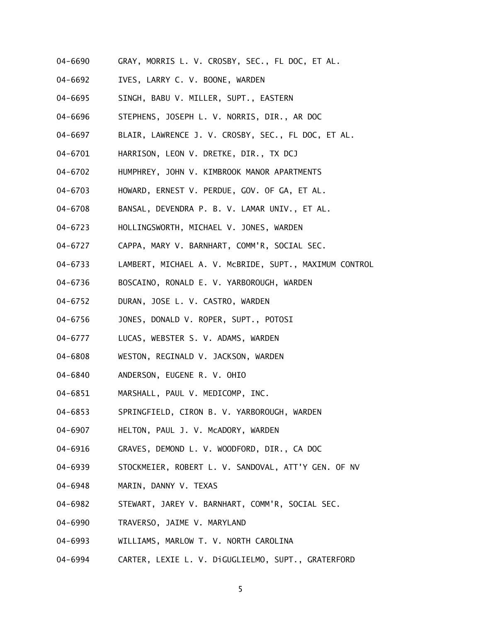- 04-6690 GRAY, MORRIS L. V. CROSBY, SEC., FL DOC, ET AL.
- 04-6692 IVES, LARRY C. V. BOONE, WARDEN
- 04-6695 SINGH, BABU V. MILLER, SUPT., EASTERN
- 04-6696 STEPHENS, JOSEPH L. V. NORRIS, DIR., AR DOC
- 04-6697 BLAIR, LAWRENCE J. V. CROSBY, SEC., FL DOC, ET AL.
- 04-6701 HARRISON, LEON V. DRETKE, DIR., TX DCJ
- 04-6702 HUMPHREY, JOHN V. KIMBROOK MANOR APARTMENTS
- 04-6703 HOWARD, ERNEST V. PERDUE, GOV. OF GA, ET AL.
- 04-6708 BANSAL, DEVENDRA P. B. V. LAMAR UNIV., ET AL.
- 04-6723 HOLLINGSWORTH, MICHAEL V. JONES, WARDEN
- 04-6727 CAPPA, MARY V. BARNHART, COMM'R, SOCIAL SEC.
- 04-6733 LAMBERT, MICHAEL A. V. McBRIDE, SUPT., MAXIMUM CONTROL
- 04-6736 BOSCAINO, RONALD E. V. YARBOROUGH, WARDEN
- 04-6752 DURAN, JOSE L. V. CASTRO, WARDEN
- 04-6756 JONES, DONALD V. ROPER, SUPT., POTOSI
- 04-6777 LUCAS, WEBSTER S. V. ADAMS, WARDEN
- 04-6808 WESTON, REGINALD V. JACKSON, WARDEN
- 04-6840 ANDERSON, EUGENE R. V. OHIO
- 04-6851 MARSHALL, PAUL V. MEDICOMP, INC.
- 04-6853 SPRINGFIELD, CIRON B. V. YARBOROUGH, WARDEN
- 04-6907 HELTON, PAUL J. V. McADORY, WARDEN
- 04-6916 GRAVES, DEMOND L. V. WOODFORD, DIR., CA DOC
- 04-6939 STOCKMEIER, ROBERT L. V. SANDOVAL, ATT'Y GEN. OF NV
- 04-6948 MARIN, DANNY V. TEXAS
- 04-6982 STEWART, JAREY V. BARNHART, COMM'R, SOCIAL SEC.
- 04-6990 TRAVERSO, JAIME V. MARYLAND
- 04-6993 WILLIAMS, MARLOW T. V. NORTH CAROLINA
- 04-6994 CARTER, LEXIE L. V. DiGUGLIELMO, SUPT., GRATERFORD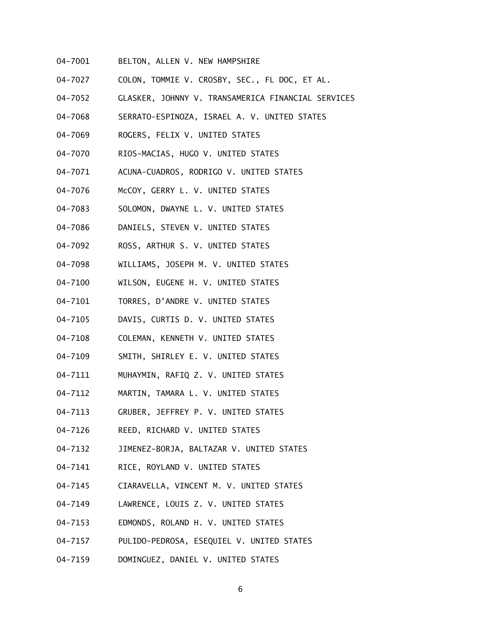- 04-7001 BELTON, ALLEN V. NEW HAMPSHIRE
- 04-7027 COLON, TOMMIE V. CROSBY, SEC., FL DOC, ET AL.
- 04-7052 GLASKER, JOHNNY V. TRANSAMERICA FINANCIAL SERVICES
- 04-7068 SERRATO-ESPINOZA, ISRAEL A. V. UNITED STATES
- 04-7069 ROGERS, FELIX V. UNITED STATES
- 04-7070 RIOS-MACIAS, HUGO V. UNITED STATES
- 04-7071 ACUNA-CUADROS, RODRIGO V. UNITED STATES
- 04-7076 McCOY, GERRY L. V. UNITED STATES
- 04-7083 SOLOMON, DWAYNE L. V. UNITED STATES
- 04-7086 DANIELS, STEVEN V. UNITED STATES
- 04-7092 ROSS, ARTHUR S. V. UNITED STATES
- 04-7098 WILLIAMS, JOSEPH M. V. UNITED STATES
- 04-7100 WILSON, EUGENE H. V. UNITED STATES
- 04-7101 TORRES, D'ANDRE V. UNITED STATES
- 04-7105 DAVIS, CURTIS D. V. UNITED STATES
- 04-7108 COLEMAN, KENNETH V. UNITED STATES
- 04-7109 SMITH, SHIRLEY E. V. UNITED STATES
- 04-7111 MUHAYMIN, RAFIQ Z. V. UNITED STATES
- 04-7112 MARTIN, TAMARA L. V. UNITED STATES
- 04-7113 GRUBER, JEFFREY P. V. UNITED STATES
- 04-7126 REED, RICHARD V. UNITED STATES
- 04-7132 JIMENEZ-BORJA, BALTAZAR V. UNITED STATES
- 04-7141 RICE, ROYLAND V. UNITED STATES
- 04-7145 CIARAVELLA, VINCENT M. V. UNITED STATES
- 04-7149 LAWRENCE, LOUIS Z. V. UNITED STATES
- 04-7153 EDMONDS, ROLAND H. V. UNITED STATES
- 04-7157 PULIDO-PEDROSA, ESEQUIEL V. UNITED STATES
- 04-7159 DOMINGUEZ, DANIEL V. UNITED STATES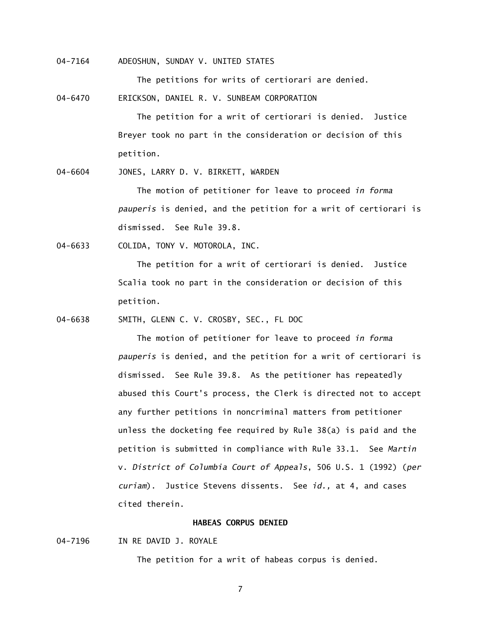04-7164 ADEOSHUN, SUNDAY V. UNITED STATES

The petitions for writs of certiorari are denied.

04-6470 ERICKSON, DANIEL R. V. SUNBEAM CORPORATION

 The petition for a writ of certiorari is denied. Justice Breyer took no part in the consideration or decision of this petition.

04-6604 JONES, LARRY D. V. BIRKETT, WARDEN

 The motion of petitioner for leave to proceed *in forma pauperis* is denied, and the petition for a writ of certiorari is dismissed. See Rule 39.8.

04-6633 COLIDA, TONY V. MOTOROLA, INC.

 The petition for a writ of certiorari is denied. Justice Scalia took no part in the consideration or decision of this petition.

04-6638 SMITH, GLENN C. V. CROSBY, SEC., FL DOC

 The motion of petitioner for leave to proceed *in forma pauperis* is denied, and the petition for a writ of certiorari is dismissed. See Rule 39.8. As the petitioner has repeatedly abused this Court's process, the Clerk is directed not to accept any further petitions in noncriminal matters from petitioner unless the docketing fee required by Rule 38(a) is paid and the petition is submitted in compliance with Rule 33.1. See *Martin*  v. *District of Columbia Court of Appeals*, 506 U.S. 1 (1992) (*per curiam*). Justice Stevens dissents. See *id.,* at 4, and cases cited therein.

# **HABEAS CORPUS DENIED**

04-7196 IN RE DAVID J. ROYALE

The petition for a writ of habeas corpus is denied.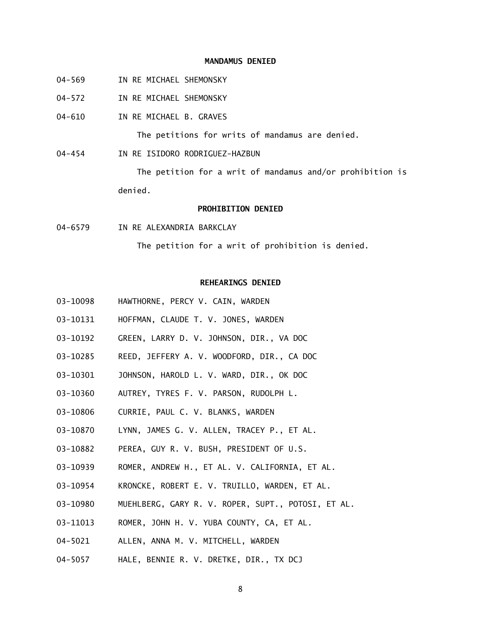## **MANDAMUS DENIED**

- 04-569 IN RE MICHAEL SHEMONSKY
- 04-572 IN RE MICHAEL SHEMONSKY
- 04-610 IN RE MICHAEL B. GRAVES

The petitions for writs of mandamus are denied.

04-454 IN RE ISIDORO RODRIGUEZ-HAZBUN

 The petition for a writ of mandamus and/or prohibition is denied.

# **PROHIBITION DENIED**

04-6579 IN RE ALEXANDRIA BARKCLAY

The petition for a writ of prohibition is denied.

## **REHEARINGS DENIED**

- 03-10098 HAWTHORNE, PERCY V. CAIN, WARDEN
- 03-10131 HOFFMAN, CLAUDE T. V. JONES, WARDEN
- 03-10192 GREEN, LARRY D. V. JOHNSON, DIR., VA DOC
- 03-10285 REED, JEFFERY A. V. WOODFORD, DIR., CA DOC
- 03-10301 JOHNSON, HAROLD L. V. WARD, DIR., OK DOC
- 03-10360 AUTREY, TYRES F. V. PARSON, RUDOLPH L.
- 03-10806 CURRIE, PAUL C. V. BLANKS, WARDEN
- 03-10870 LYNN, JAMES G. V. ALLEN, TRACEY P., ET AL.
- 03-10882 PEREA, GUY R. V. BUSH, PRESIDENT OF U.S.
- 03-10939 ROMER, ANDREW H., ET AL. V. CALIFORNIA, ET AL.
- 03-10954 KRONCKE, ROBERT E. V. TRUILLO, WARDEN, ET AL.
- 03-10980 MUEHLBERG, GARY R. V. ROPER, SUPT., POTOSI, ET AL.
- 03-11013 ROMER, JOHN H. V. YUBA COUNTY, CA, ET AL.
- 04-5021 ALLEN, ANNA M. V. MITCHELL, WARDEN
- 04-5057 HALE, BENNIE R. V. DRETKE, DIR., TX DCJ